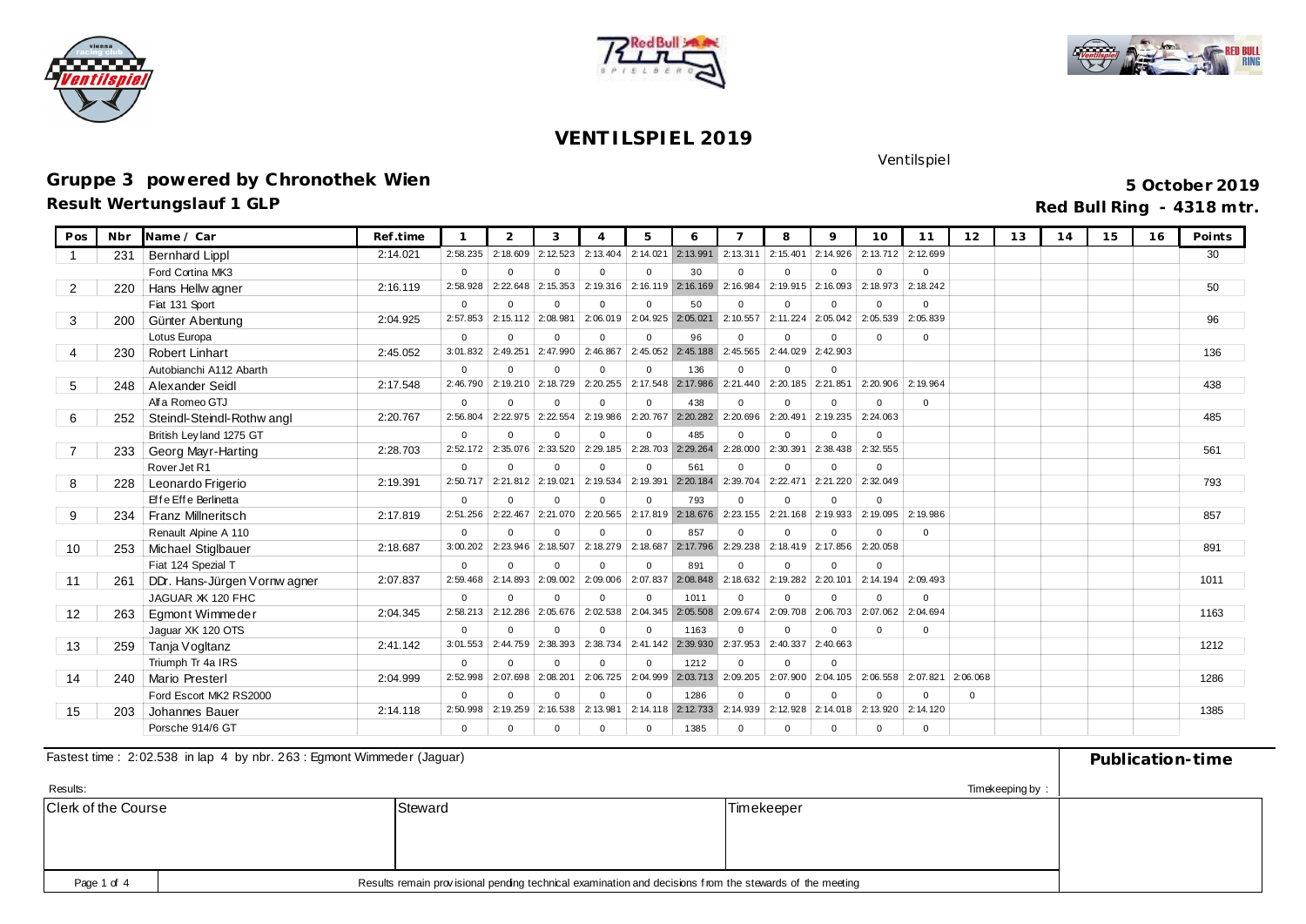





# **Gruppe 3 powered by Chronothek Wien**

**Result Wertungslauf 1 GLP**

**5 October 2019 Red Bull Ring - 4318 mtr.**

Ventilspiel

| Pos            | Nbr | Name / Car                   | Ref.time |             | $\overline{2}$ | 3        | $\Delta$     | 5                   | 6                   |           | 8                   | $\circ$  | 10       | 11           | 12           | 13 | 14 | 15 | 16 | Points |
|----------------|-----|------------------------------|----------|-------------|----------------|----------|--------------|---------------------|---------------------|-----------|---------------------|----------|----------|--------------|--------------|----|----|----|----|--------|
|                | 231 | <b>Bernhard Lippl</b>        | 2:14.021 | 2:58.235    | 2:18.609       | 2:12.523 | 2:13.404     | 2:14.021            | 2:13.991            | 2: 13.311 | 2:15.401            | 2:14.926 | 2:13.712 | 2:12.699     |              |    |    |    |    | 30     |
|                |     | Ford Cortina MK3             |          | $\Omega$    | $\Omega$       | $\Omega$ | $\Omega$     | $\Omega$            | 30                  | $\Omega$  | $\Omega$            | $\Omega$ | $\Omega$ | $\Omega$     |              |    |    |    |    |        |
| $\overline{2}$ | 220 | Hans Hellw agner             | 2:16.119 | 2:58.928    | 2:22.648       | 2:15.353 | 2:19.316     |                     | 2:16.119 2:16.169   | 2:16.984  | 2:19.915            | 2:16.093 | 2:18.973 | 2:18.242     |              |    |    |    |    | 50     |
|                |     | Fiat 131 Sport               |          | $\Omega$    | $\Omega$       | $\Omega$ | $\mathbf{0}$ | $\Omega$            | 50                  | $\Omega$  | $\Omega$            | $\Omega$ | $\Omega$ | $\mathbf 0$  |              |    |    |    |    |        |
| 3              | 200 | Günter Abentung              | 2:04.925 | 2:57.853    | 2:15.112       | 2:08.981 | 2:06.019     | $2:04.925$ 2:05.021 |                     | 2:10.557  | $2:11.224$ 2:05.042 |          | 2:05.539 | 2:05.839     |              |    |    |    |    | 96     |
|                |     | Lotus Europa                 |          | $\Omega$    | $\Omega$       | $\Omega$ | $\Omega$     | $\Omega$            | 96                  | $\Omega$  | $\Omega$            | $\Omega$ | $\Omega$ | $\Omega$     |              |    |    |    |    |        |
|                | 230 | <b>Robert Linhart</b>        | 2:45.052 | 3:01.832    | 2:49.251       | 2:47.990 | 2:46.867     |                     | $2:45.052$ 2:45.188 | 2:45.565  | $2:44.029$ 2:42.903 |          |          |              |              |    |    |    |    | 136    |
|                |     | Autobianchi A112 Abarth      |          | $\Omega$    | $\Omega$       | $\Omega$ | $\Omega$     | $\Omega$            | 136                 | $\Omega$  | $\Omega$            | $\Omega$ |          |              |              |    |    |    |    |        |
| 5              | 248 | Alexander Seidl              | 2:17.548 | 2:46.790    | 2:19.210       | 2:18.729 | 2:20.255     | 2:17.548 2:17.986   |                     | 2:21.440  | 2:20.185 2:21.851   |          | 2:20.906 | 2:19.964     |              |    |    |    |    | 438    |
|                |     | Alf a Romeo GTJ              |          | $\Omega$    | $\Omega$       | $\Omega$ | $\mathbf{0}$ | $\Omega$            | 438                 | $\Omega$  | $\Omega$            | $\Omega$ | $\Omega$ | $\mathbf 0$  |              |    |    |    |    |        |
| 6              | 252 | Steindl-Steindl-Rothw angl   | 2:20.767 | 2:56.804    | 2:22.975       | 2:22.554 | 2:19.986     |                     | 2:20.767 2:20.282   | 2:20.696  | 2:20.491            | 2:19.235 | 2:24.063 |              |              |    |    |    |    | 485    |
|                |     | British Ley land 1275 GT     |          | $\Omega$    | $\Omega$       | $\Omega$ | $\mathbf{0}$ | $\Omega$            | 485                 | $\Omega$  | $\Omega$            | $\Omega$ | $\Omega$ |              |              |    |    |    |    |        |
|                | 233 | Georg Mayr-Harting           | 2:28.703 | 2:52.172    | 2:35.076       | 2:33.520 | 2:29.185     | 2:28.703 2:29.264   |                     | 2:28,000  | 2:30.391            | 2:38.438 | 2:32.555 |              |              |    |    |    |    | 561    |
|                |     | Rover Jet R1                 |          | $\Omega$    | $\Omega$       | $\Omega$ | $\Omega$     | $\Omega$            | 561                 | $\Omega$  | $\Omega$            | $\Omega$ | $\Omega$ |              |              |    |    |    |    |        |
| 8              | 228 | Leonardo Frigerio            | 2:19.391 | 2:50.717    | 2:21.812       | 2:19.021 | 2:19.534     | 2:19.391            | 2:20.184            | 2:39.704  | 2:22.471            | 2:21.220 | 2:32.049 |              |              |    |    |    |    | 793    |
|                |     | Effe Effe Berlinetta         |          | $\Omega$    | $\Omega$       | $\Omega$ | $\Omega$     | $\Omega$            | 793                 | $\Omega$  | $\Omega$            | $\Omega$ | $\Omega$ |              |              |    |    |    |    |        |
| 9              | 234 | <b>Franz Millneritsch</b>    | 2:17.819 | 2:51.256    | 2:22.467       | 2:21.070 | 2:20.565     |                     | 2:17.819 2:18.676   | 2:23.155  | 2:21.168            | 2:19.933 | 2:19.095 | 2:19.986     |              |    |    |    |    | 857    |
|                |     | Renault Apine A 110          |          | $\Omega$    | $\Omega$       | $\Omega$ | $\mathbf{0}$ | $\Omega$            | 857                 | $\Omega$  | $\Omega$            | $\Omega$ | $\Omega$ | $\mathbf{0}$ |              |    |    |    |    |        |
| 10             | 253 | Michael Stiglbauer           | 2:18.687 | 3:00.202    | 2:23.946       | 2:18.507 | 2:18.279     |                     | 2:18.687 2:17.796   | 2:29.238  | 2:18.419 2:17.856   |          | 2:20.058 |              |              |    |    |    |    | 891    |
|                |     | Fiat 124 Spezial T           |          | $\Omega$    | $\Omega$       | $\Omega$ | $\mathbf{0}$ | $\Omega$            | 891                 | $\Omega$  | $\Omega$            | $\Omega$ | $\Omega$ |              |              |    |    |    |    |        |
| 11             | 261 | DDr. Hans-Jürgen Vornw agner | 2:07.837 | 2:59.468    | 2:14.893       | 2:09.002 | 2:09.006     | 2:07.837            | 2:08.848            | 2:18.632  | 2:19.282            | 2:20.101 | 2:14.194 | 2:09.493     |              |    |    |    |    | 1011   |
|                |     | JAGUAR XK 120 FHC            |          | $\Omega$    | $\Omega$       | $\Omega$ | $\Omega$     | $\Omega$            | 1011                | $\Omega$  | $\Omega$            | $\Omega$ | $\Omega$ | $\Omega$     |              |    |    |    |    |        |
| 12             | 263 | Eamont Wimmeder              | 2:04.345 | 2:58.213    | 2:12.286       | 2:05.676 | 2:02.538     |                     | 2:04.345 2:05.508   | 2:09.674  | 2:09.708            | 2:06.703 | 2:07.062 | 2:04.694     |              |    |    |    |    | 1163   |
|                |     | Jaquar XK 120 OTS            |          | $\Omega$    | $\Omega$       | $\Omega$ | $\Omega$     | $\Omega$            | 1163                | $\Omega$  | $\Omega$            | $\Omega$ | $\Omega$ | $\mathbf 0$  |              |    |    |    |    |        |
| 13             | 259 | Tanja Vogltanz               | 2:41.142 | 3:01.553    | 2:44.759       | 2:38.393 | 2:38.734     | 2:41.142            | 2:39.930            | 2:37.953  | 2:40.337            | 2:40.663 |          |              |              |    |    |    |    | 1212   |
|                |     | Triumph Tr 4a IRS            |          | $\Omega$    | $\Omega$       | $\Omega$ | $\mathbf{0}$ | $\Omega$            | 1212                | $\Omega$  | $\Omega$            | $\Omega$ |          |              |              |    |    |    |    |        |
| 14             | 240 | <b>Mario Presterl</b>        | 2:04.999 | 2:52.998    | 2:07.698       | 2:08.201 | 2:06.725     |                     | 2:04.999 2:03.713   | 2:09.205  | 2:07.900            | 2:04.105 | 2:06.558 | 2:07.821     | 2:06.068     |    |    |    |    | 1286   |
|                |     | Ford Escort MK2 RS2000       |          | $\mathbf 0$ | $\Omega$       | $\Omega$ | $\mathbf{0}$ | $\Omega$            | 1286                | $\Omega$  | $\Omega$            | $\Omega$ | $\Omega$ | $\mathbf 0$  | $\mathbf{0}$ |    |    |    |    |        |
| 15             | 203 | Johannes Bauer               | 2:14.118 | 2:50.998    | 2:19.259       | 2:16.538 | 2:13.981     |                     | $2:14.118$ 2:12.733 | 2:14.939  | 2:12.928            | 2:14.018 | 2:13.920 | 2:14.120     |              |    |    |    |    | 1385   |
|                |     | Porsche 914/6 GT             |          | $\mathbf 0$ | $\Omega$       | $\Omega$ | $\mathbf 0$  | $\Omega$            | 1385                | $\Omega$  | $\Omega$            | $\Omega$ | $\Omega$ | $\Omega$     |              |    |    |    |    |        |

#### Fastest time : 2:02.538 in lap 4 by nbr. 263 : Egmont Wimmeder (Jaguar) **Publication-time** Publication-time

| Results:                   |                                                                                                                        |         | Timekeeping by:   |  |  |  |  |  |
|----------------------------|------------------------------------------------------------------------------------------------------------------------|---------|-------------------|--|--|--|--|--|
| <b>Clerk of the Course</b> |                                                                                                                        | Steward | <b>Timekeeper</b> |  |  |  |  |  |
|                            |                                                                                                                        |         |                   |  |  |  |  |  |
|                            |                                                                                                                        |         |                   |  |  |  |  |  |
|                            |                                                                                                                        |         |                   |  |  |  |  |  |
|                            | Results remain provisional pending technical examination and decisions from the stewards of the meeting<br>Page 1 of 4 |         |                   |  |  |  |  |  |
|                            |                                                                                                                        |         |                   |  |  |  |  |  |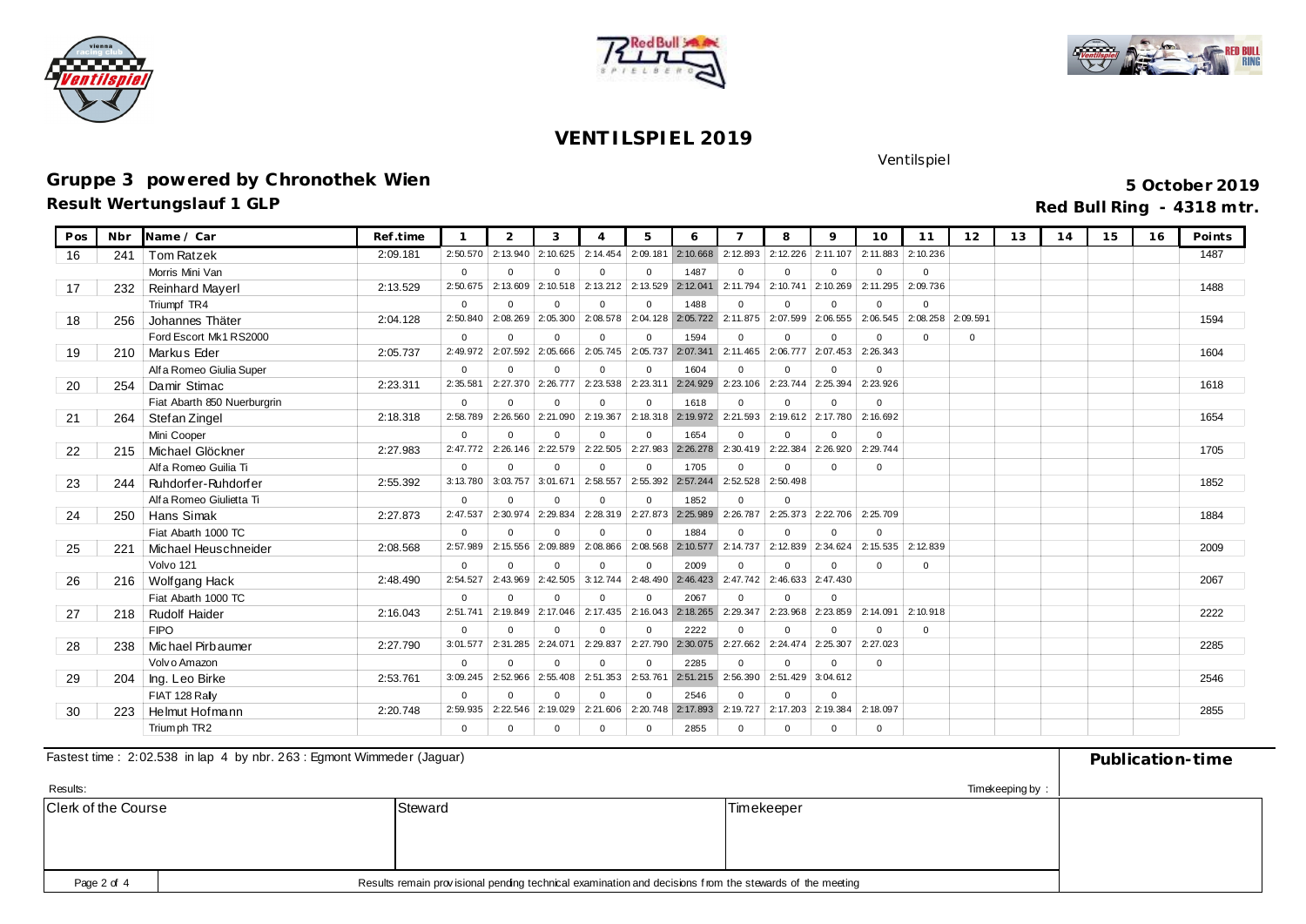





### **Gruppe 3 powered by Chronothek Wien**

**Result Wertungslauf 1 GLP**

**5 October 2019 Red Bull Ring - 4318 mtr.**

Ventilspiel

| Pos | Nbr | Name / Car                  | Ref.time |          | 2              | 3           | $\Delta$       | 5                 | 6                   |          | 8                   | $\mathsf Q$ | 10                | 11          | 12          | 13 | 14 | 15 | 16 | Points |
|-----|-----|-----------------------------|----------|----------|----------------|-------------|----------------|-------------------|---------------------|----------|---------------------|-------------|-------------------|-------------|-------------|----|----|----|----|--------|
| 16  | 241 | <b>Tom Ratzek</b>           | 2:09.181 | 2:50.570 | 2:13.940       | 2:10.625    | 2:14.454       | 2:09.181          | 2:10.668            | 2:12.893 | 2:12.226            | 2:11.107    | 2:11.883          | 2:10.236    |             |    |    |    |    | 1487   |
|     |     | Morris Mini Van             |          | $\Omega$ | $\Omega$       | $\Omega$    | $\Omega$       | $\Omega$          | 1487                | $\Omega$ | $\Omega$            | $\Omega$    | $\Omega$          | $\Omega$    |             |    |    |    |    |        |
| 17  | 232 | <b>Reinhard Mayerl</b>      | 2:13.529 | 2:50.675 | 2:13.609       | 2:10.518    | 2:13.212       | 2:13.529          | 2:12.041            | 2:11.794 | 2:10.741            | 2:10.269    | 2:11.295          | 2:09.736    |             |    |    |    |    | 1488   |
|     |     | Triumpf TR4                 |          | $\Omega$ | $\mathbf 0$    | $\mathbf 0$ | $\mathbf{0}$   | $\Omega$          | 1488                | $\Omega$ | $\Omega$            | $\mathbf 0$ | $\mathbf{0}$      | $\mathbf 0$ |             |    |    |    |    |        |
| 18  | 256 | Johannes Thäter             | 2:04.128 | 2:50.840 | 2:08.269       | 2:05.300    | 2:08.578       | 2:04.128          | 2:05.722            | 2:11.875 | 2:07.599            | 2:06.555    | 2:06.545          | 2:08.258    | 2:09.591    |    |    |    |    | 1594   |
|     |     | Ford Escort Mk1 RS2000      |          | $\Omega$ | $\Omega$       | $\Omega$    | $\mathbf{0}$   | $\Omega$          | 1594                | $\Omega$ | $\Omega$            | $\Omega$    | $\Omega$          | $\mathbf 0$ | $\mathbf 0$ |    |    |    |    |        |
| 19  | 210 | Markus Eder                 | 2:05.737 | 2:49.972 | 2:07.592       | 2:05.666    | 2:05.745       | 2:05.737          | 2:07.341            | 2:11.465 | 2:06.777            | 2:07.453    | 2:26.343          |             |             |    |    |    |    | 1604   |
|     |     | Alf a Romeo Giulia Super    |          | $\Omega$ | $\Omega$       | $\Omega$    | $\Omega$       | $\Omega$          | 1604                | $\Omega$ | $\Omega$            | $\Omega$    | $\mathbf 0$       |             |             |    |    |    |    |        |
| 20  | 254 | Damir Stimac                | 2:23.311 | 2:35.581 | 2:27.370       | 2:26.777    | 2:23.538       | 2:23.311          | 2:24.929            | 2:23.106 | 2:23.744            | 2:25.394    | 2:23.926          |             |             |    |    |    |    | 1618   |
|     |     | Fiat Abarth 850 Nuerburgrin |          | $\Omega$ | $\mathbf 0$    | $\Omega$    | $\overline{0}$ | $\Omega$          | 1618                | $\Omega$ | $\Omega$            | $\Omega$    | $\Omega$          |             |             |    |    |    |    |        |
| 21  | 264 | Stef an Zingel              | 2:18.318 | 2:58.789 | 2:26.560       | 2:21.090    | 2:19.367       |                   | 2:18.318 2:19.972   | 2:21.593 | 2:19.612            | 2:17.780    | 2:16.692          |             |             |    |    |    |    | 1654   |
|     |     | Mini Cooper                 |          | $\Omega$ | $\Omega$       | $\Omega$    | $\Omega$       | $\Omega$          | 1654                | $\Omega$ | $\Omega$            | $\Omega$    | $\Omega$          |             |             |    |    |    |    |        |
| 22  | 215 | Michael Glöckner            | 2:27.983 | 2:47.772 | 2:26.146       | 2:22.579    | 2:22.505       | 2:27.983          | 2:26.278            | 2:30,419 | 2:22.384            | 2:26.920    | 2:29.744          |             |             |    |    |    |    | 1705   |
|     |     | Alf a Romeo Guilia Ti       |          | $\Omega$ | $\Omega$       | $\Omega$    | $\Omega$       | $\Omega$          | 1705                | $\Omega$ | $\Omega$            | $\Omega$    | $\Omega$          |             |             |    |    |    |    |        |
| 23  | 244 | Ruhdorfer-Ruhdorfer         | 2:55.392 | 3:13.780 | 3:03.757       | 3:01.671    | 2:58.557       | 2:55.392          | 2:57.244            | 2:52.528 | 2:50.498            |             |                   |             |             |    |    |    |    | 1852   |
|     |     | Alf a Romeo Giulietta Ti    |          | $\Omega$ | $\Omega$       | $\Omega$    | $\mathbf{0}$   | $\Omega$          | 1852                | $\Omega$ | $\Omega$            |             |                   |             |             |    |    |    |    |        |
| 24  | 250 | Hans Simak                  | 2:27.873 | 2:47.537 | 2:30.974       | 2:29.834    | 2:28.319       | 2:27.873          | 2:25.989            | 2:26.787 | 2:25.373            | 2:22.706    | 2:25.709          |             |             |    |    |    |    | 1884   |
|     |     | Fiat Abarth 1000 TC         |          | $\Omega$ | $\Omega$       | $\Omega$    | $\Omega$       | $\Omega$          | 1884                | $\Omega$ | $\Omega$            | $\Omega$    | $\Omega$          |             |             |    |    |    |    |        |
| 25  | 221 | Michael Heuschneider        | 2:08.568 | 2:57.989 | 2:15.556       | 2:09.889    | 2:08.866       | 2:08.568          | 2:10.577            | 2:14.737 | 2:12.839            | 2:34.624    | 2:15.535 2:12.839 |             |             |    |    |    |    | 2009   |
|     |     | Volvo 121                   |          | $\Omega$ | $\overline{0}$ | $\mathbf 0$ | $\overline{0}$ | $\Omega$          | 2009                | $\Omega$ | $\mathbf{0}$        | $\mathbf 0$ | $\mathbf{0}$      | $\mathbf 0$ |             |    |    |    |    |        |
| 26  | 216 | Wolfgang Hack               | 2:48.490 | 2:54.527 | 2:43.969       | 2:42.505    | 3:12.744       | 2:48.490          | 2:46.423            | 2:47.742 | 2:46.633            | 2:47.430    |                   |             |             |    |    |    |    | 2067   |
|     |     | Fiat Abarth 1000 TC         |          | $\Omega$ | $\Omega$       | $\Omega$    | $\Omega$       | $\Omega$          | 2067                | $\Omega$ | $\Omega$            | $\Omega$    |                   |             |             |    |    |    |    |        |
| 27  | 218 | <b>Rudolf Haider</b>        | 2:16.043 | 2:51.741 | 2:19.849       | 2:17.046    | 2:17.435       | 2:16.043          | 2:18.265            | 2:29.347 | 2:23.968            | 2:23.859    | 2:14.091          | 2:10.918    |             |    |    |    |    | 2222   |
|     |     | <b>FIPO</b>                 |          | $\Omega$ | $\Omega$       | $\Omega$    | $\overline{0}$ | $\Omega$          | 2222                | $\Omega$ | $\Omega$            | $\Omega$    | $\Omega$          | $\mathbf 0$ |             |    |    |    |    |        |
| 28  | 238 | Michael Pirbaumer           | 2:27.790 | 3:01.577 | 2:31.285       | 2:24.07     | 2:29.837       | 2:27.790          | 2:30.075            | 2:27.662 | 2:24.474            | 2:25.307    | 2:27.023          |             |             |    |    |    |    | 2285   |
|     |     | Volv o Amazon               |          | $\Omega$ | $\Omega$       | $\Omega$    | $\Omega$       | $\Omega$          | 2285                | $\Omega$ | $\Omega$            | $\Omega$    | $\Omega$          |             |             |    |    |    |    |        |
| 29  | 204 | Ing. Leo Birke              | 2:53.761 | 3:09.245 | 2:52.966       | 2:55.408    |                | 2:51.353 2:53.761 | $2:51.215$ 2:56.390 |          | $2:51.429$ 3:04.612 |             |                   |             |             |    |    |    |    | 2546   |
|     |     | FIAT 128 Rally              |          | $\Omega$ | $\Omega$       | $\Omega$    | $\Omega$       | $\Omega$          | 2546                | $\Omega$ | $\Omega$            | $\Omega$    |                   |             |             |    |    |    |    |        |
| 30  | 223 | Helmut Hofmann              | 2:20.748 | 2:59.935 | 2:22.546       | 2:19.029    | 2:21.606       | 2:20.748          | 2:17.893            | 2:19.727 | 2:17.203            | 2:19.384    | 2:18.097          |             |             |    |    |    |    | 2855   |
|     |     | Trium ph TR2                |          | $\Omega$ | $\Omega$       | $\Omega$    | $\mathbf 0$    | $\Omega$          | 2855                | $\Omega$ | $\Omega$            | $\Omega$    | $\Omega$          |             |             |    |    |    |    |        |

#### Fastest time : 2:02.538 in lap 4 by nbr. 263 : Egmont Wimmeder (Jaguar) **Publication-time** Publication-time

| Results:            |         | Timekeeping by: |  |
|---------------------|---------|-----------------|--|
| Clerk of the Course | Steward | Timekeeper      |  |
|                     |         |                 |  |
|                     |         |                 |  |
|                     |         |                 |  |
|                     |         |                 |  |
| Page 2 of 4         |         |                 |  |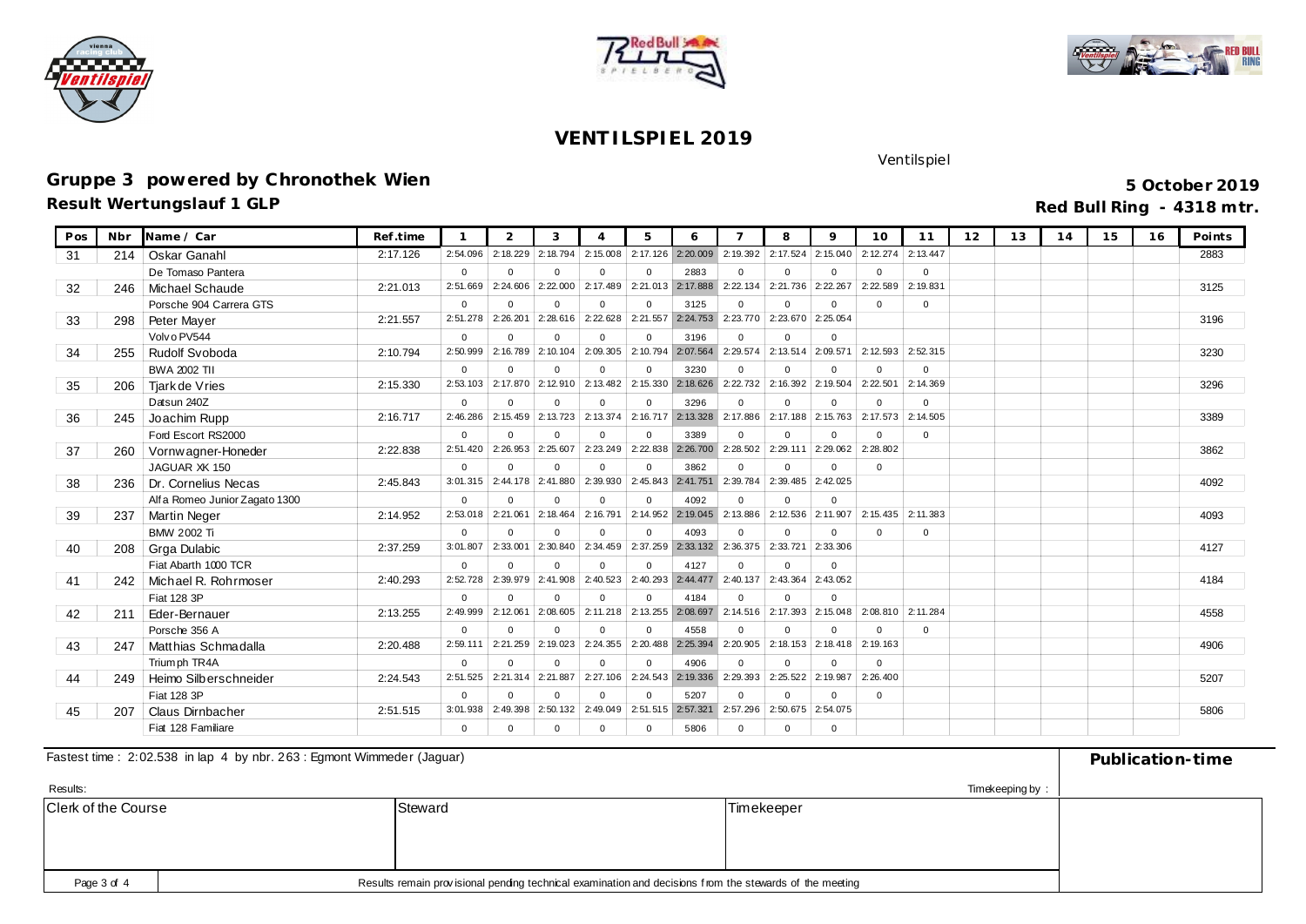





### **Gruppe 3 powered by Chronothek Wien**

**Result Wertungslauf 1 GLP**

**5 October 2019 Red Bull Ring - 4318 mtr.**

Ventilspiel

| Pos | Nbr | Name / Car                     | Ref.time |          | $\overline{2}$ | 3           | $\Delta$       | 5                   | 6                          |              | 8                 | $\mathsf{Q}$          | 10                | 11          | 12 | 13 | 14 | 15 | 16 | Points |
|-----|-----|--------------------------------|----------|----------|----------------|-------------|----------------|---------------------|----------------------------|--------------|-------------------|-----------------------|-------------------|-------------|----|----|----|----|----|--------|
| 31  | 214 | Oskar Ganahl                   | 2:17.126 | 2:54.096 | 2:18.229       | 2:18.794    | 2:15.008       | 2:17.126            | 2:20.009                   | 2:19.392     | 2:17.524          | 2:15.040              | 2:12.274          | 2:13.447    |    |    |    |    |    | 2883   |
|     |     | De Tomaso Pantera              |          | $\Omega$ | $\Omega$       | $\Omega$    | $\Omega$       | $\Omega$            | 2883                       | $\Omega$     | $\Omega$          | $\Omega$              | $\Omega$          | $\Omega$    |    |    |    |    |    |        |
| 32  | 246 | Michael Schaude                | 2:21.013 | 2:51.669 | 2:24.606       | 2:22.000    | 2:17.489       | 2:21.013 2:17.888   |                            | 2:22.134     | 2:21.736          | 2:22.267              | 2:22.589          | 2:19.831    |    |    |    |    |    | 3125   |
|     |     | Porsche 904 Carrera GTS        |          | $\Omega$ | $\Omega$       | $\Omega$    | $\mathbf{0}$   | $\Omega$            | 3125                       | $\Omega$     | $\Omega$          | $\Omega$              | $\Omega$          | $\Omega$    |    |    |    |    |    |        |
| 33  | 298 | Peter Mayer                    | 2:21.557 | 2:51.278 | 2:26.201       | 2:28.616    | 2:22.628       |                     | 2:21.557 2:24.753 2:23.770 |              | 2:23.670 2:25.054 |                       |                   |             |    |    |    |    |    | 3196   |
|     |     | Volv o PV544                   |          | $\Omega$ | $\Omega$       | $\Omega$    | $\Omega$       | $\Omega$            | 3196                       | $\Omega$     | $\Omega$          | $\Omega$              |                   |             |    |    |    |    |    |        |
| 34  | 255 | <b>Rudolf Svoboda</b>          | 2:10.794 | 2:50.999 | 2:16.789       | 2:10.104    | 2:09.305       | 2:10.794            | 2:07.564                   | 2:29.574     | 2:13.514          | 2:09.571              | 2:12.593          | 2:52.315    |    |    |    |    |    | 3230   |
|     |     | <b>BWA 2002 TII</b>            |          | $\Omega$ | $\Omega$       | $\Omega$    | $\overline{0}$ | $\Omega$            | 3230                       | $\Omega$     | $\Omega$          | $\Omega$              | $\Omega$          | $\mathbf 0$ |    |    |    |    |    |        |
| 35  | 206 | Tjark de Vries                 | 2:15.330 | 2:53.103 | 2:17.870       | 2:12.910    | 2:13.482       | 2:15.330            | 2:18.626                   | 2:22.732     | 2:16.392          | 2:19.504              | 2:22.501          | 2:14.369    |    |    |    |    |    | 3296   |
|     |     | Datsun 240Z                    |          | $\Omega$ | $\Omega$       | $\Omega$    | $\mathbf{0}$   | $\Omega$            | 3296                       | $\Omega$     | $\Omega$          | $\Omega$              | $\mathbf 0$       | $\mathbf 0$ |    |    |    |    |    |        |
| 36  | 245 | Joachim Rupp                   | 2:16.717 | 2:46.286 | 2:15.459       | 2:13.723    | 2:13.374       | 2:16.717 2:13.328   |                            | 2:17.886     |                   | 2:17.188 2:15.763     | 2:17.573 2:14.505 |             |    |    |    |    |    | 3389   |
|     |     | Ford Escort RS2000             |          | $\Omega$ | $\Omega$       | $\mathbf 0$ | $\overline{0}$ | $\Omega$            | 3389                       | $\Omega$     | $\Omega$          | $\Omega$              | $\Omega$          | $\mathbf 0$ |    |    |    |    |    |        |
| 37  | 260 | Vornwagner-Honeder             | 2:22.838 | 2:51.420 | 2:26.953       | 2:25.607    | 2:23.249       | 2:22.838            | 2:26.700                   | 2:28.502     | 2:29.111          | 2:29.062              | 2:28.802          |             |    |    |    |    |    | 3862   |
|     |     | JAGUAR XK 150                  |          | $\Omega$ | $\Omega$       | $\Omega$    | $\Omega$       | $\Omega$            | 3862                       | $\Omega$     | $\Omega$          | $\Omega$              | $\Omega$          |             |    |    |    |    |    |        |
| 38  | 236 | Dr. Cornelius Necas            | 2:45.843 | 3:01.315 | 2:44.178       | 2:41.880    | 2:39.930       | 2:45.843 2:41.751   |                            | 2:39.784     | 2:39.485          | 2:42.025              |                   |             |    |    |    |    |    | 4092   |
|     |     | Alf a Romeo Junior Zagato 1300 |          | $\Omega$ | $\Omega$       | $\mathbf 0$ | $\mathbf{0}$   | $\Omega$            | 4092                       | $\Omega$     | $\Omega$          | $\Omega$              |                   |             |    |    |    |    |    |        |
| 39  | 237 | <b>Martin Neger</b>            | 2:14.952 | 2:53.018 | 2:21.061       | 2:18.464    | 2:16.791       | 2:14.952            | 2:19.045                   | 2:13.886     | 2:12.536          | 2:11.907              | 2:15.435          | 2:11.383    |    |    |    |    |    | 4093   |
|     |     | <b>BMW 2002 Ti</b>             |          | $\Omega$ | $\Omega$       | $\Omega$    | $\mathbf{0}$   | $\Omega$            | 4093                       | $\Omega$     | $\Omega$          | $\Omega$              | $\Omega$          | $\mathbf 0$ |    |    |    |    |    |        |
| 40  | 208 | Grga Dulabic                   | 2:37.259 | 3:01.807 | 2:33.001       | 2:30.840    | 2:34.459       |                     | 2:37.259 2:33.132          | 2:36.375     | 2:33.721 2:33.306 |                       |                   |             |    |    |    |    |    | 4127   |
|     |     | Fiat Abarth 1000 TCR           |          | $\Omega$ | $\Omega$       | $\Omega$    | $\Omega$       | $\Omega$            | 4127                       | $\Omega$     | $\Omega$          | $\Omega$              |                   |             |    |    |    |    |    |        |
| 41  | 242 | Michael R. Rohrmoser           | 2:40.293 | 2:52.728 | 2:39.979       | 2:41.908    | 2:40.523       | 2:40.293 2:44.477   |                            | 2:40.137     | 2:43.364          | 2:43.052              |                   |             |    |    |    |    |    | 4184   |
|     |     | Fiat 128 3P                    |          | $\Omega$ | $\Omega$       | $\Omega$    | $\mathbf{0}$   | $\Omega$            | 4184                       | $\Omega$     | $\Omega$          | $\Omega$              |                   |             |    |    |    |    |    |        |
| 42  | 211 | Eder-Bernauer                  | 2:13.255 | 2:49.999 | 2:12.061       | 2:08.605    | 2:11.218       | 2:13.255            | 2:08.697                   | 2:14.516     | 2:17.393 2:15.048 |                       | 2:08.810 2:11.284 |             |    |    |    |    |    | 4558   |
|     |     | Porsche 356 A                  |          | $\Omega$ | $\Omega$       | $\Omega$    | $\Omega$       | $\Omega$            | 4558                       | $\Omega$     | $\Omega$          | $\Omega$              | $\Omega$          | $\Omega$    |    |    |    |    |    |        |
| 43  | 247 | Matthias Schmadalla            | 2:20.488 | 2:59.111 | 2:21.259       | 2:19.023    | 2:24.355       | 2:20.488 2:25.394   |                            | 2:20.905     |                   | $2: 18.153$ 2: 18.418 | 2:19.163          |             |    |    |    |    |    | 4906   |
|     |     | Trium ph TR4A                  |          | $\Omega$ | $\Omega$       | $\mathbf 0$ | $\mathbf{0}$   | $\Omega$            | 4906                       | $\Omega$     | $\Omega$          | $\Omega$              | $\Omega$          |             |    |    |    |    |    |        |
| 44  | 249 | Heimo Silberschneider          | 2:24.543 | 2:51.525 | 2:21.314       | 2:21.887    | 2:27.106       | 2:24.543 2:19.336   |                            | 2:29.393     | 2:25.522 2:19.987 |                       | 2:26.400          |             |    |    |    |    |    | 5207   |
|     |     | Fiat 128 3P                    |          | $\Omega$ | $\Omega$       | $\Omega$    | $\Omega$       | $\Omega$            | 5207                       | $\Omega$     | $\Omega$          | $\Omega$              | $\Omega$          |             |    |    |    |    |    |        |
| 45  | 207 | <b>Claus Dirnbacher</b>        | 2:51.515 | 3:01.938 | 2:49.398       | 2:50.132    | 2:49.049       | $2:51.515$ 2:57.321 |                            | 2:57.296     | 2:50.675          | 2:54.075              |                   |             |    |    |    |    |    | 5806   |
|     |     | Fiat 128 Familiare             |          | $\Omega$ | $\Omega$       | $\Omega$    | $\mathbf 0$    | $\mathbf{0}$        | 5806                       | $\mathbf{0}$ | $\mathbf{0}$      | $\mathbf 0$           |                   |             |    |    |    |    |    |        |

#### Fastest time : 2:02.538 in lap 4 by nbr. 263 : Egmont Wimmeder (Jaguar) **Publication-time** Publication-time

| Results:                   | Timekeeping by: |         |                   |  |  |  |  |  |  |  |  |  |
|----------------------------|-----------------|---------|-------------------|--|--|--|--|--|--|--|--|--|
| <b>Clerk of the Course</b> |                 | Steward | <b>Timekeeper</b> |  |  |  |  |  |  |  |  |  |
|                            |                 |         |                   |  |  |  |  |  |  |  |  |  |
|                            |                 |         |                   |  |  |  |  |  |  |  |  |  |
|                            |                 |         |                   |  |  |  |  |  |  |  |  |  |
|                            |                 |         |                   |  |  |  |  |  |  |  |  |  |
| Page 3 of 4                |                 |         |                   |  |  |  |  |  |  |  |  |  |